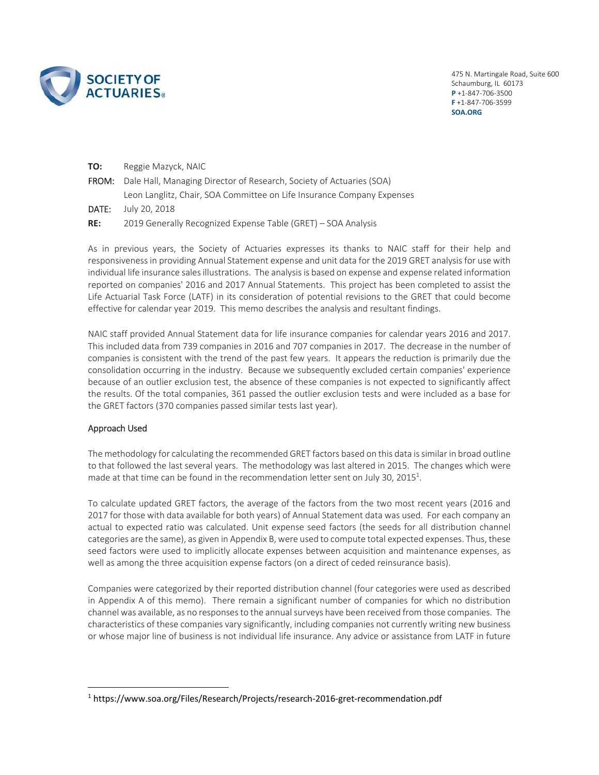

475 N. Martingale Road, Suite 600 Schaumburg, IL 60173 **P** +1‐847‐706‐3500 **F** +1‐847‐706‐3599 **SOA.ORG**

| TO:   | Reggie Mazyck, NAIC                                                        |
|-------|----------------------------------------------------------------------------|
|       | FROM: Dale Hall, Managing Director of Research, Society of Actuaries (SOA) |
|       | Leon Langlitz, Chair, SOA Committee on Life Insurance Company Expenses     |
| DATE: | July 20, 2018                                                              |
| RE:   | 2019 Generally Recognized Expense Table (GRET) – SOA Analysis              |

As in previous years, the Society of Actuaries expresses its thanks to NAIC staff for their help and responsiveness in providing Annual Statement expense and unit data for the 2019 GRET analysis for use with individual life insurance sales illustrations. The analysis is based on expense and expense related information reported on companies' 2016 and 2017 Annual Statements. This project has been completed to assist the Life Actuarial Task Force (LATF) in its consideration of potential revisions to the GRET that could become effective for calendar year 2019. This memo describes the analysis and resultant findings.

NAIC staff provided Annual Statement data for life insurance companies for calendar years 2016 and 2017. This included data from 739 companies in 2016 and 707 companies in 2017. The decrease in the number of companies is consistent with the trend of the past few years. It appears the reduction is primarily due the consolidation occurring in the industry. Because we subsequently excluded certain companies' experience because of an outlier exclusion test, the absence of these companies is not expected to significantly affect the results. Of the total companies, 361 passed the outlier exclusion tests and were included as a base for the GRET factors (370 companies passed similar tests last year).

#### Approach Used

The methodology for calculating the recommended GRET factors based on this data is similar in broad outline to that followed the last several years. The methodology was last altered in 2015. The changes which were made at that time can be found in the recommendation letter sent on July 30, 2015<sup>1</sup>.

To calculate updated GRET factors, the average of the factors from the two most recent years (2016 and 2017 for those with data available for both years) of Annual Statement data was used. For each company an actual to expected ratio was calculated. Unit expense seed factors (the seeds for all distribution channel categories are the same), as given in Appendix B, were used to compute total expected expenses. Thus, these seed factors were used to implicitly allocate expenses between acquisition and maintenance expenses, as well as among the three acquisition expense factors (on a direct of ceded reinsurance basis).

Companies were categorized by their reported distribution channel (four categories were used as described in Appendix A of this memo). There remain a significant number of companies for which no distribution channel was available, as no responses to the annual surveys have been received from those companies. The characteristics of these companies vary significantly, including companies not currently writing new business or whose major line of business is not individual life insurance. Any advice or assistance from LATF in future

<sup>&</sup>lt;sup>1</sup> https://www.soa.org/Files/Research/Projects/research-2016-gret-recommendation.pdf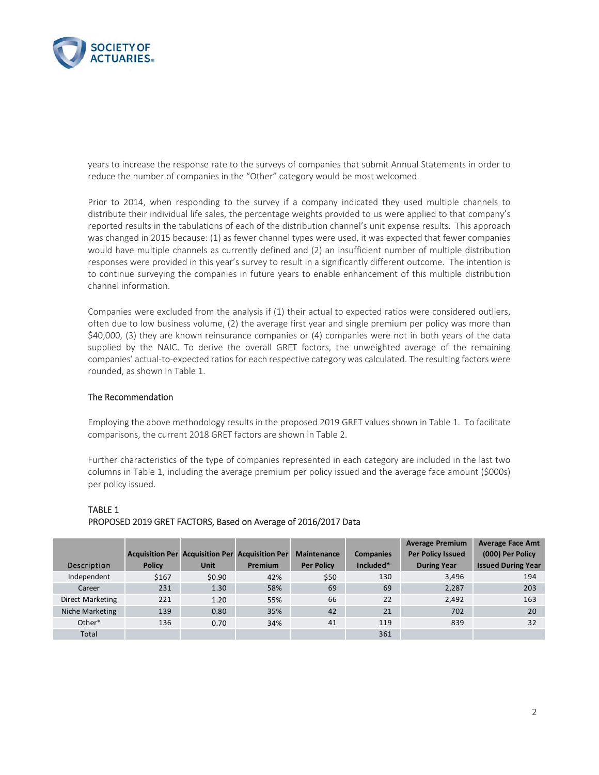

years to increase the response rate to the surveys of companies that submit Annual Statements in order to reduce the number of companies in the "Other" category would be most welcomed.

Prior to 2014, when responding to the survey if a company indicated they used multiple channels to distribute their individual life sales, the percentage weights provided to us were applied to that company's reported results in the tabulations of each of the distribution channel's unit expense results. This approach was changed in 2015 because: (1) as fewer channel types were used, it was expected that fewer companies would have multiple channels as currently defined and (2) an insufficient number of multiple distribution responses were provided in this year's survey to result in a significantly different outcome. The intention is to continue surveying the companies in future years to enable enhancement of this multiple distribution channel information.

Companies were excluded from the analysis if (1) their actual to expected ratios were considered outliers, often due to low business volume, (2) the average first year and single premium per policy was more than \$40,000, (3) they are known reinsurance companies or (4) companies were not in both years of the data supplied by the NAIC. To derive the overall GRET factors, the unweighted average of the remaining companies' actual-to-expected ratios for each respective category was calculated. The resulting factors were rounded, as shown in Table 1.

#### The Recommendation

Employing the above methodology results in the proposed 2019 GRET values shown in Table 1. To facilitate comparisons, the current 2018 GRET factors are shown in Table 2.

Further characteristics of the type of companies represented in each category are included in the last two columns in Table 1, including the average premium per policy issued and the average face amount (\$000s) per policy issued.

|                  |               |                                                        |                |                    |                  | <b>Average Premium</b>   | <b>Average Face Amt</b>   |
|------------------|---------------|--------------------------------------------------------|----------------|--------------------|------------------|--------------------------|---------------------------|
|                  |               | <b>Acquisition Per Acquisition Per Acquisition Per</b> |                | <b>Maintenance</b> | <b>Companies</b> | <b>Per Policy Issued</b> | (000) Per Policy          |
| Description      | <b>Policy</b> | <b>Unit</b>                                            | <b>Premium</b> | <b>Per Policy</b>  | Included*        | <b>During Year</b>       | <b>Issued During Year</b> |
| Independent      | \$167         | \$0.90                                                 | 42%            | \$50               | 130              | 3,496                    | 194                       |
| Career           | 231           | 1.30                                                   | 58%            | 69                 | 69               | 2,287                    | 203                       |
| Direct Marketing | 221           | 1.20                                                   | 55%            | 66                 | 22               | 2,492                    | 163                       |
| Niche Marketing  | 139           | 0.80                                                   | 35%            | 42                 | 21               | 702                      | 20                        |
| Other*           | 136           | 0.70                                                   | 34%            | 41                 | 119              | 839                      | 32                        |
| Total            |               |                                                        |                |                    | 361              |                          |                           |

### TABLE 1 PROPOSED 2019 GRET FACTORS, Based on Average of 2016/2017 Data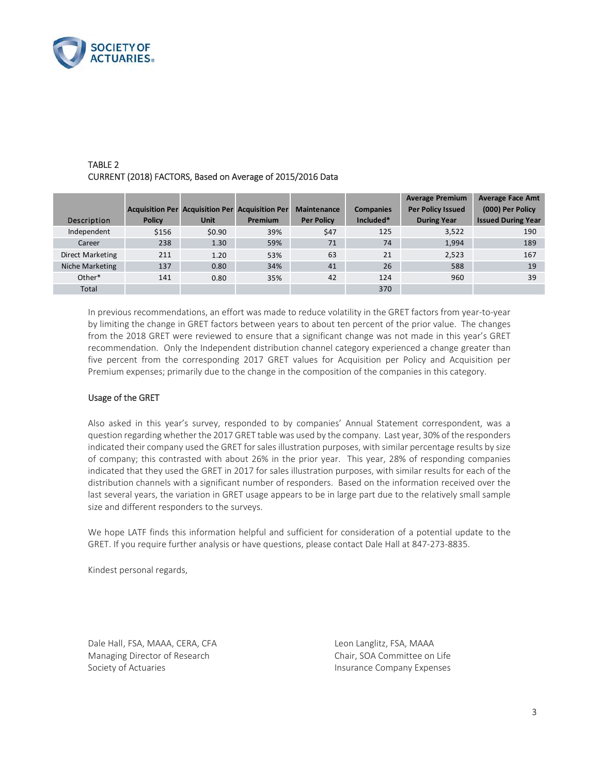

|                  |               |                                                        |                |                    |                  | <b>Average Premium</b>   | <b>Average Face Amt</b>   |
|------------------|---------------|--------------------------------------------------------|----------------|--------------------|------------------|--------------------------|---------------------------|
|                  |               | <b>Acquisition Per Acquisition Per Acquisition Per</b> |                | <b>Maintenance</b> | <b>Companies</b> | <b>Per Policy Issued</b> | (000) Per Policy          |
| Description      | <b>Policy</b> | <b>Unit</b>                                            | <b>Premium</b> | <b>Per Policy</b>  | Included*        | <b>During Year</b>       | <b>Issued During Year</b> |
| Independent      | \$156         | \$0.90                                                 | 39%            | \$47               | 125              | 3,522                    | 190                       |
| Career           | 238           | 1.30                                                   | 59%            | 71                 | 74               | 1,994                    | 189                       |
| Direct Marketing | 211           | 1.20                                                   | 53%            | 63                 | 21               | 2,523                    | 167                       |
| Niche Marketing  | 137           | 0.80                                                   | 34%            | 41                 | 26               | 588                      | 19                        |
| Other*           | 141           | 0.80                                                   | 35%            | 42                 | 124              | 960                      | 39                        |
| Total            |               |                                                        |                |                    | 370              |                          |                           |

### TABLE 2 CURRENT (2018) FACTORS, Based on Average of 2015/2016 Data

In previous recommendations, an effort was made to reduce volatility in the GRET factors from year‐to‐year by limiting the change in GRET factors between years to about ten percent of the prior value. The changes from the 2018 GRET were reviewed to ensure that a significant change was not made in this year's GRET recommendation. Only the Independent distribution channel category experienced a change greater than five percent from the corresponding 2017 GRET values for Acquisition per Policy and Acquisition per Premium expenses; primarily due to the change in the composition of the companies in this category.

#### Usage of the GRET

Also asked in this year's survey, responded to by companies' Annual Statement correspondent, was a question regarding whether the 2017 GRET table was used by the company. Last year, 30% of the responders indicated their company used the GRET for sales illustration purposes, with similar percentage results by size of company; this contrasted with about 26% in the prior year. This year, 28% of responding companies indicated that they used the GRET in 2017 for sales illustration purposes, with similar results for each of the distribution channels with a significant number of responders. Based on the information received over the last several years, the variation in GRET usage appears to be in large part due to the relatively small sample size and different responders to the surveys.

We hope LATF finds this information helpful and sufficient for consideration of a potential update to the GRET. If you require further analysis or have questions, please contact Dale Hall at 847‐273‐8835.

Kindest personal regards,

Dale Hall, FSA, MAAA, CERA, CFA Leon Langlitz, FSA, MAAA Managing Director of Research Chair, SOA Committee on Life Society of Actuaries **Insurance Company Expenses**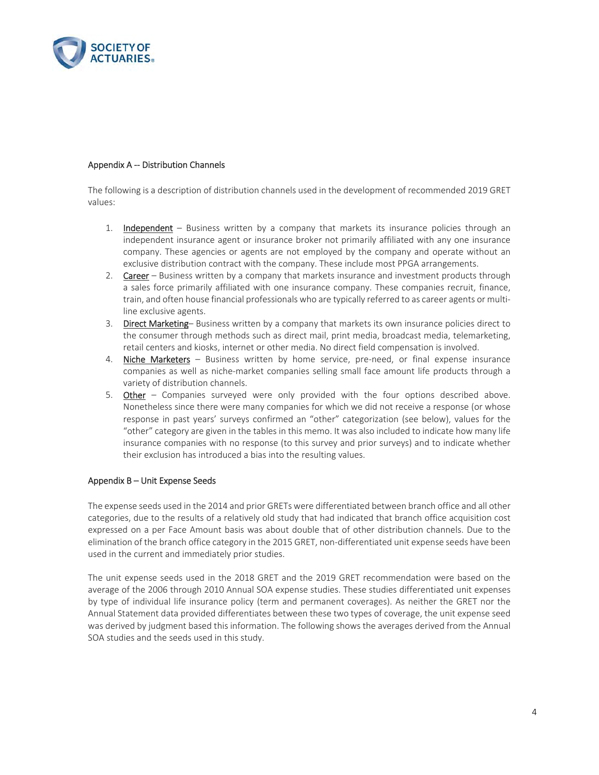

#### Appendix A -- Distribution Channels

The following is a description of distribution channels used in the development of recommended 2019 GRET values:

- 1. **Independent**  $-$  Business written by a company that markets its insurance policies through an independent insurance agent or insurance broker not primarily affiliated with any one insurance company. These agencies or agents are not employed by the company and operate without an exclusive distribution contract with the company. These include most PPGA arrangements.
- 2. Career Business written by a company that markets insurance and investment products through a sales force primarily affiliated with one insurance company. These companies recruit, finance, train, and often house financial professionals who are typically referred to as career agents or multi‐ line exclusive agents.
- 3. Direct Marketing-Business written by a company that markets its own insurance policies direct to the consumer through methods such as direct mail, print media, broadcast media, telemarketing, retail centers and kiosks, internet or other media. No direct field compensation is involved.
- 4. Niche Marketers  $-$  Business written by home service, pre-need, or final expense insurance companies as well as niche-market companies selling small face amount life products through a variety of distribution channels.
- 5. Other Companies surveyed were only provided with the four options described above. Nonetheless since there were many companies for which we did not receive a response (or whose response in past years' surveys confirmed an "other" categorization (see below), values for the "other" category are given in the tables in this memo. It was also included to indicate how many life insurance companies with no response (to this survey and prior surveys) and to indicate whether their exclusion has introduced a bias into the resulting values.

#### Appendix B – Unit Expense Seeds

The expense seeds used in the 2014 and prior GRETs were differentiated between branch office and all other categories, due to the results of a relatively old study that had indicated that branch office acquisition cost expressed on a per Face Amount basis was about double that of other distribution channels. Due to the elimination of the branch office category in the 2015 GRET, non-differentiated unit expense seeds have been used in the current and immediately prior studies.

The unit expense seeds used in the 2018 GRET and the 2019 GRET recommendation were based on the average of the 2006 through 2010 Annual SOA expense studies. These studies differentiated unit expenses by type of individual life insurance policy (term and permanent coverages). As neither the GRET nor the Annual Statement data provided differentiates between these two types of coverage, the unit expense seed was derived by judgment based this information. The following shows the averages derived from the Annual SOA studies and the seeds used in this study.